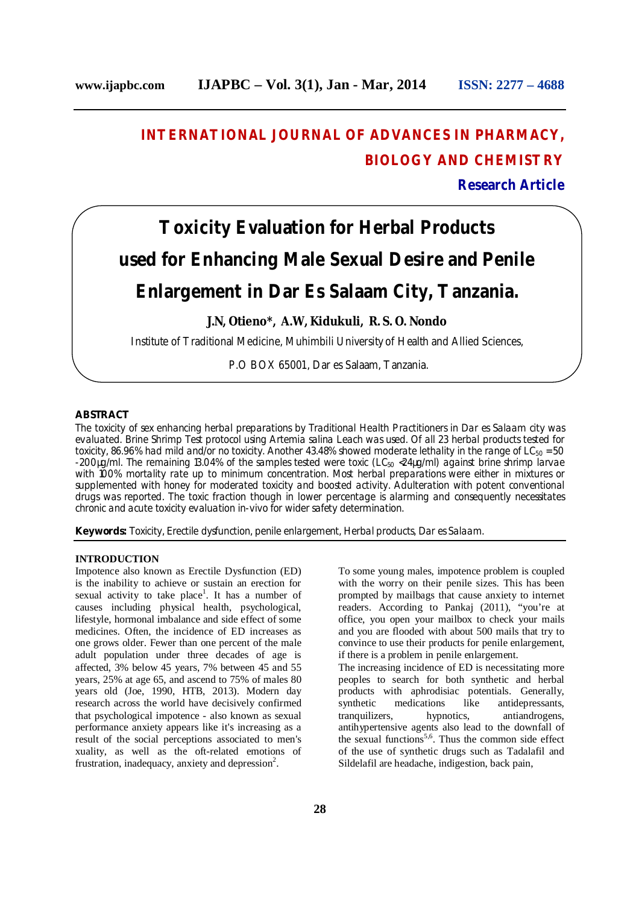# **INTERNATIONAL JOURNAL OF ADVANCES IN PHARMACY, BIOLOGY AND CHEMISTRY**

**Research Article**

# **Toxicity Evaluation for Herbal Products used for Enhancing Male Sexual Desire and Penile Enlargement in Dar Es Salaam City, Tanzania.**

**J.N, Otieno\*, A.W, Kidukuli, R. S. O. Nondo** 

Institute of Traditional Medicine, Muhimbili University of Health and Allied Sciences,

P.O BOX 65001, Dar es Salaam, Tanzania.

#### **ABSTRACT**

The toxicity of sex enhancing herbal preparations by Traditional Health Practitioners in Dar es Salaam city was evaluated. Brine Shrimp Test protocol using *Artemia salina* Leach was used. Of all 23 herbal products tested for toxicity, 86.96% had mild and/or no toxicity. Another 43.48% showed moderate lethality in the range of  $LC_{50} = 50$ -200µg/ml. The remaining 13.04% of the samples tested were toxic (LC<sub>50</sub> <24µg/ml) against brine shrimp larvae with 100% mortality rate up to minimum concentration. Most herbal preparations were either in mixtures or supplemented with honey for moderated toxicity and boosted activity. Adulteration with potent conventional drugs was reported. The toxic fraction though in lower percentage is alarming and consequently necessitates chronic and acute toxicity evaluation *in-vivo* for wider safety determination.

**Keywords:** Toxicity, Erectile dysfunction, penile enlargement, Herbal products, Dar es Salaam.

## **INTRODUCTION**

Impotence also known as Erectile Dysfunction (ED) is the inability to achieve or sustain an erection for sexual activity to take place<sup>1</sup>. It has a number of causes including physical health, psychological, lifestyle, hormonal imbalance and side effect of some medicines. Often, the incidence of ED increases as one grows older. Fewer than one percent of the male adult population under three decades of age is affected, 3% below 45 years, 7% between 45 and 55 years, 25% at age 65, and ascend to 75% of males 80 years old (Joe, 1990, HTB, 2013). Modern day research across the world have decisively confirmed that psychological impotence - also known as sexual performance anxiety appears like it's increasing as a result of the social perceptions associated to men's xuality, as well as the oft-related emotions of frustration, inadequacy, anxiety and depression<sup>2</sup>.

To some young males, impotence problem is coupled with the worry on their penile sizes. This has been prompted by mailbags that cause anxiety to internet readers. According to Pankaj (2011), "you're at office, you open your mailbox to check your mails and you are flooded with about 500 mails that try to convince to use their products for penile enlargement, if there is a problem in penile enlargement.

The increasing incidence of ED is necessitating more peoples to search for both synthetic and herbal products with aphrodisiac potentials. Generally,<br>synthetic medications like antidepressants, antidepressants, tranquilizers, hypnotics, antiandrogens, antihypertensive agents also lead to the downfall of the sexual functions<sup>5,6</sup>. Thus the common side effect of the use of synthetic drugs such as Tadalafil and Sildelafil are headache, indigestion, back pain,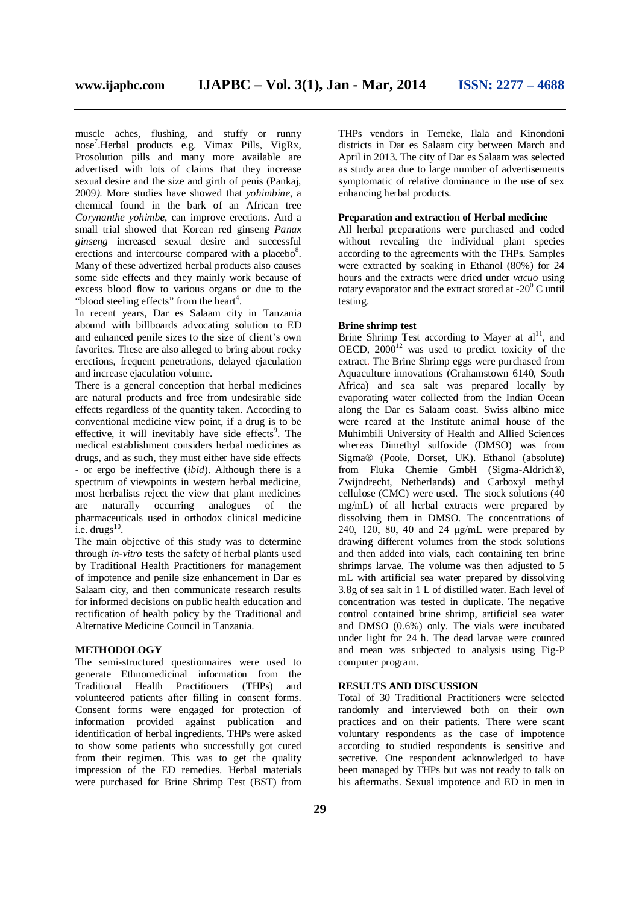muscle aches, flushing, and stuffy or runny nose<sup>7</sup>.Herbal products e.g. Vimax Pills, VigRx, Prosolution pills and many more available are advertised with lots of claims that they increase sexual desire and the size and girth of penis (Pankaj, 2009*)*. More studies have showed that *yohimbine*, a chemical found in the bark of an African tree *Corynanthe yohimbe*, can improve erections. And a small trial showed that Korean red ginseng *Panax ginseng* increased sexual desire and successful erections and intercourse compared with a placebo $8$ . Many of these advertized herbal products also causes some side effects and they mainly work because of excess blood flow to various organs or due to the "blood steeling effects" from the heart<sup>4</sup>.

In recent years, Dar es Salaam city in Tanzania abound with billboards advocating solution to ED and enhanced penile sizes to the size of client's own favorites. These are also alleged to bring about rocky erections, frequent penetrations, delayed ejaculation and increase ejaculation volume.

There is a general conception that herbal medicines are natural products and free from undesirable side effects regardless of the quantity taken. According to conventional medicine view point, if a drug is to be effective, it will inevitably have side effects<sup>9</sup>. The medical establishment considers herbal medicines as drugs, and as such, they must either have side effects - or ergo be ineffective (*ibid*). Although there is a spectrum of viewpoints in western herbal medicine, most herbalists reject the view that plant medicines are naturally occurring analogues of the pharmaceuticals used in orthodox clinical medicine i.e. drugs $^{10}$ .

The main objective of this study was to determine through *in-vitro* tests the safety of herbal plants used by Traditional Health Practitioners for management of impotence and penile size enhancement in Dar es Salaam city, and then communicate research results for informed decisions on public health education and rectification of health policy by the Traditional and Alternative Medicine Council in Tanzania.

#### **METHODOLOGY**

The semi-structured questionnaires were used to generate Ethnomedicinal information from the Traditional Health Practitioners (THPs) and volunteered patients after filling in consent forms. Consent forms were engaged for protection of information provided against publication and identification of herbal ingredients. THPs were asked to show some patients who successfully got cured from their regimen. This was to get the quality impression of the ED remedies. Herbal materials were purchased for Brine Shrimp Test (BST) from

THPs vendors in Temeke, Ilala and Kinondoni districts in Dar es Salaam city between March and April in 2013. The city of Dar es Salaam was selected as study area due to large number of advertisements symptomatic of relative dominance in the use of sex enhancing herbal products.

## **Preparation and extraction of Herbal medicine**

All herbal preparations were purchased and coded without revealing the individual plant species according to the agreements with the THPs. Samples were extracted by soaking in Ethanol (80%) for 24 hours and the extracts were dried under *vacuo* using rotary evaporator and the extract stored at  $-20^{\circ}$ C until testing.

#### **Brine shrimp test**

Brine Shrimp Test according to Mayer at  $al<sup>11</sup>$ , and OECD,  $2000^{12}$  was used to predict toxicity of the extract. The Brine Shrimp eggs were purchased from Aquaculture innovations (Grahamstown 6140, South Africa) and sea salt was prepared locally by evaporating water collected from the Indian Ocean along the Dar es Salaam coast. Swiss albino mice were reared at the Institute animal house of the Muhimbili University of Health and Allied Sciences whereas Dimethyl sulfoxide (DMSO) was from Sigma® (Poole, Dorset, UK). Ethanol (absolute) from Fluka Chemie GmbH (Sigma-Aldrich®, Zwijndrecht, Netherlands) and Carboxyl methyl cellulose (CMC) were used. The stock solutions (40 mg/mL) of all herbal extracts were prepared by dissolving them in DMSO. The concentrations of 240, 120, 80, 40 and 24 μg/mL were prepared by drawing different volumes from the stock solutions and then added into vials, each containing ten brine shrimps larvae. The volume was then adjusted to 5 mL with artificial sea water prepared by dissolving 3.8g of sea salt in 1 L of distilled water. Each level of concentration was tested in duplicate. The negative control contained brine shrimp, artificial sea water and DMSO (0.6%) only. The vials were incubated under light for 24 h. The dead larvae were counted and mean was subjected to analysis using Fig-P computer program.

#### **RESULTS AND DISCUSSION**

Total of 30 Traditional Practitioners were selected randomly and interviewed both on their own practices and on their patients. There were scant voluntary respondents as the case of impotence according to studied respondents is sensitive and secretive. One respondent acknowledged to have been managed by THPs but was not ready to talk on his aftermaths. Sexual impotence and ED in men in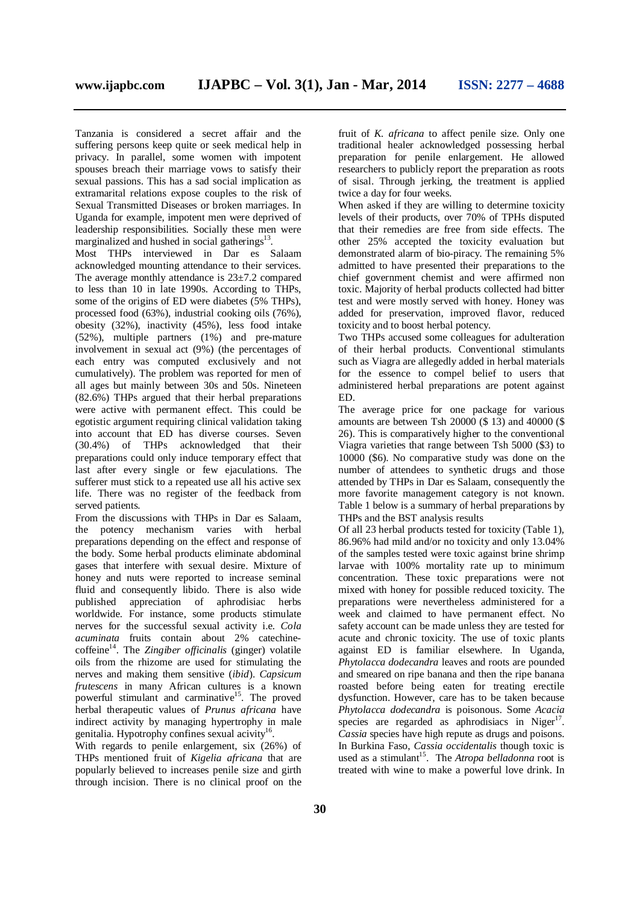Tanzania is considered a secret affair and the suffering persons keep quite or seek medical help in privacy. In parallel, some women with impotent spouses breach their marriage vows to satisfy their sexual passions. This has a sad social implication as extramarital relations expose couples to the risk of Sexual Transmitted Diseases or broken marriages. In Uganda for example, impotent men were deprived of leadership responsibilities. Socially these men were marginalized and hushed in social gatherings<sup>13</sup>.

Most THPs interviewed in Dar es Salaam acknowledged mounting attendance to their services. The average monthly attendance is 23±7.2 compared to less than 10 in late 1990s. According to THPs, some of the origins of ED were diabetes (5% THPs), processed food (63%), industrial cooking oils (76%), obesity (32%), inactivity (45%), less food intake (52%), multiple partners (1%) and pre-mature involvement in sexual act (9%) (the percentages of each entry was computed exclusively and not cumulatively). The problem was reported for men of all ages but mainly between 30s and 50s. Nineteen (82.6%) THPs argued that their herbal preparations were active with permanent effect. This could be egotistic argument requiring clinical validation taking into account that ED has diverse courses. Seven (30.4%) of THPs acknowledged that their preparations could only induce temporary effect that last after every single or few ejaculations. The sufferer must stick to a repeated use all his active sex life. There was no register of the feedback from served patients.

From the discussions with THPs in Dar es Salaam, the potency mechanism varies with herbal preparations depending on the effect and response of the body. Some herbal products eliminate abdominal gases that interfere with sexual desire. Mixture of honey and nuts were reported to increase seminal fluid and consequently libido. There is also wide published appreciation of aphrodisiac herbs worldwide. For instance, some products stimulate nerves for the successful sexual activity i.e. *Cola acuminata* fruits contain about 2% catechinecoffeine<sup>14</sup>. The *Zingiber officinalis* (ginger) volatile oils from the rhizome are used for stimulating the nerves and making them sensitive (*ibid*). *Capsicum frutescens* in many African cultures is a known powerful stimulant and carminative<sup>15</sup>. The proved herbal therapeutic values of *Prunus africana* have indirect activity by managing hypertrophy in male genitalia. Hypotrophy confines sexual acivity<sup>16</sup>.

With regards to penile enlargement, six (26%) of THPs mentioned fruit of *Kigelia africana* that are popularly believed to increases penile size and girth through incision. There is no clinical proof on the

fruit of *K. africana* to affect penile size. Only one traditional healer acknowledged possessing herbal preparation for penile enlargement. He allowed researchers to publicly report the preparation as roots of sisal. Through jerking, the treatment is applied twice a day for four weeks.

When asked if they are willing to determine toxicity levels of their products, over 70% of TPHs disputed that their remedies are free from side effects. The other 25% accepted the toxicity evaluation but demonstrated alarm of bio-piracy. The remaining 5% admitted to have presented their preparations to the chief government chemist and were affirmed non toxic. Majority of herbal products collected had bitter test and were mostly served with honey. Honey was added for preservation, improved flavor, reduced toxicity and to boost herbal potency.

Two THPs accused some colleagues for adulteration of their herbal products. Conventional stimulants such as Viagra are allegedly added in herbal materials for the essence to compel belief to users that administered herbal preparations are potent against ED.

The average price for one package for various amounts are between Tsh 20000 (\$ 13) and 40000 (\$ 26). This is comparatively higher to the conventional Viagra varieties that range between Tsh 5000 (\$3) to 10000 (\$6). No comparative study was done on the number of attendees to synthetic drugs and those attended by THPs in Dar es Salaam, consequently the more favorite management category is not known. Table 1 below is a summary of herbal preparations by THPs and the BST analysis results

Of all 23 herbal products tested for toxicity (Table 1), 86.96% had mild and/or no toxicity and only 13.04% of the samples tested were toxic against brine shrimp larvae with 100% mortality rate up to minimum concentration. These toxic preparations were not mixed with honey for possible reduced toxicity. The preparations were nevertheless administered for a week and claimed to have permanent effect. No safety account can be made unless they are tested for acute and chronic toxicity. The use of toxic plants against ED is familiar elsewhere. In Uganda, *Phytolacca dodecandra* leaves and roots are pounded and smeared on ripe banana and then the ripe banana roasted before being eaten for treating erectile dysfunction. However, care has to be taken because *Phytolacca dodecandra* is poisonous. Some *Acacia* species are regarded as aphrodisiacs in Niger $17$ . *Cassia* species have high repute as drugs and poisons. In Burkina Faso, *Cassia occidentalis* though toxic is used as a stimulant<sup>15</sup>. The *Atropa belladonna* root is treated with wine to make a powerful love drink. In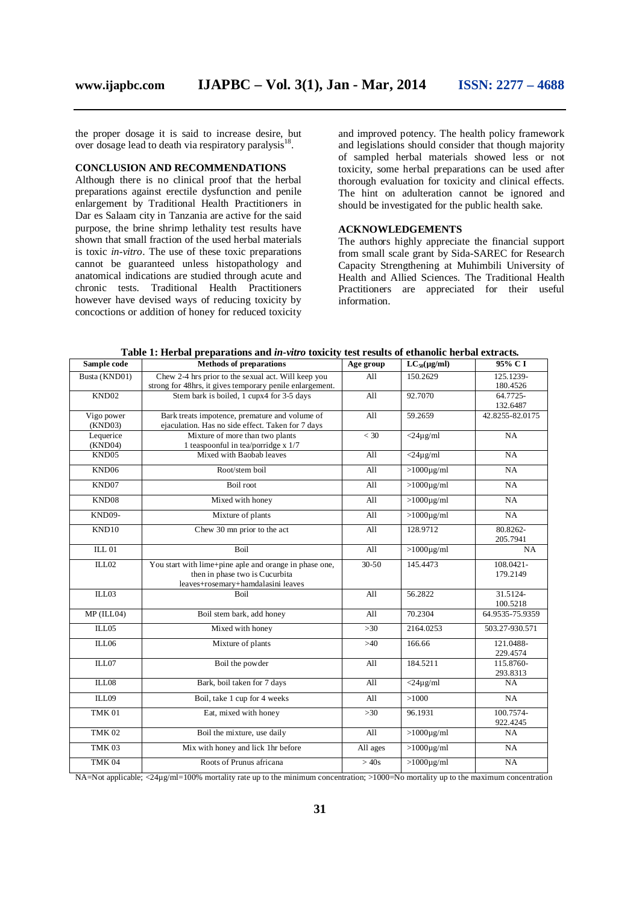the proper dosage it is said to increase desire, but over dosage lead to death via respiratory paralysis<sup>18</sup>.

#### **CONCLUSION AND RECOMMENDATIONS**

Although there is no clinical proof that the herbal preparations against erectile dysfunction and penile enlargement by Traditional Health Practitioners in Dar es Salaam city in Tanzania are active for the said purpose, the brine shrimp lethality test results have shown that small fraction of the used herbal materials is toxic *in-vitro*. The use of these toxic preparations cannot be guaranteed unless histopathology and anatomical indications are studied through acute and chronic tests. Traditional Health Practitioners however have devised ways of reducing toxicity by concoctions or addition of honey for reduced toxicity

and improved potency. The health policy framework and legislations should consider that though majority of sampled herbal materials showed less or not toxicity, some herbal preparations can be used after thorough evaluation for toxicity and clinical effects. The hint on adulteration cannot be ignored and should be investigated for the public health sake.

# **ACKNOWLEDGEMENTS**

The authors highly appreciate the financial support from small scale grant by Sida-SAREC for Research Capacity Strengthening at Muhimbili University of Health and Allied Sciences. The Traditional Health Practitioners are appreciated for their useful information.

| Sample code       | <b>Methods of preparations</b>                                                                                                 | Age group | $LC_{50}(\mu g/ml)$  | 95% CI                |
|-------------------|--------------------------------------------------------------------------------------------------------------------------------|-----------|----------------------|-----------------------|
| Busta (KND01)     | Chew 2-4 hrs prior to the sexual act. Will keep you                                                                            | All       | 150.2629             | 125.1239-             |
|                   | strong for 48hrs, it gives temporary penile enlargement.                                                                       |           |                      | 180.4526              |
| KND02             | Stem bark is boiled, 1 cupx4 for 3-5 days                                                                                      | All       | 92.7070              | 64.7725-              |
|                   |                                                                                                                                |           |                      | 132.6487              |
| Vigo power        | Bark treats impotence, premature and volume of                                                                                 | All       | 59.2659              | 42.8255-82.0175       |
| (KND03)           | ejaculation. Has no side effect. Taken for 7 days                                                                              |           |                      |                       |
| Lequerice         | Mixture of more than two plants                                                                                                | $<$ 30    | $<$ 24µg/ml          | NA                    |
| (KND04)           | 1 teaspoonful in tea/porridge x 1/7                                                                                            |           |                      |                       |
| KND05             | Mixed with Baobab leaves                                                                                                       | All       | $\langle 24\mu$ g/ml | NA                    |
| KND <sub>06</sub> | Root/stem boil                                                                                                                 | All       | $>1000\mu$ g/ml      | NA                    |
| KND07             | Boil root                                                                                                                      | All       | $>1000\mu$ g/ml      | NA                    |
| KND08             | Mixed with honey                                                                                                               | All       | $>1000\mu$ g/ml      | NA                    |
| <b>KND09-</b>     | Mixture of plants                                                                                                              | All       | $>1000\mu$ g/ml      | NA                    |
| KND10             | Chew 30 mn prior to the act                                                                                                    | All       | 128.9712             | 80.8262-<br>205.7941  |
| ILL $01$          | Boil                                                                                                                           | All       | $>1000\mu$ g/ml      | NA                    |
| ILL02             | You start with lime+pine aple and orange in phase one,<br>then in phase two is Cucurbita<br>leaves+rosemary+hamdalasini leaves | $30 - 50$ | 145.4473             | 108.0421-<br>179.2149 |
| ILL03             | Boil                                                                                                                           | All       | 56.2822              | 31.5124-<br>100.5218  |
| MP (ILL04)        | Boil stem bark, add honey                                                                                                      | All       | 70.2304              | 64.9535-75.9359       |
| ILL05             | Mixed with honey                                                                                                               | $>30$     | 2164.0253            | 503.27-930.571        |
| ILL06             | Mixture of plants                                                                                                              | $>40$     | 166.66               | 121.0488-<br>229.4574 |
| ILL07             | Boil the powder                                                                                                                | All       | 184.5211             | 115.8760-<br>293.8313 |
| ILL08             | Bark, boil taken for 7 days                                                                                                    | All       | $<$ 24 $\mu$ g/ml    | <b>NA</b>             |
| ILL09             | Boil, take 1 cup for 4 weeks                                                                                                   | All       | >1000                | NA                    |
| TMK <sub>01</sub> | Eat, mixed with honey                                                                                                          | $>30$     | 96.1931              | 100.7574-<br>922.4245 |
| <b>TMK 02</b>     | Boil the mixture, use daily                                                                                                    | All       | $>1000\mu$ g/ml      | NA                    |
| <b>TMK03</b>      | Mix with honey and lick 1hr before                                                                                             | All ages  | $>1000\mu$ g/ml      | NA                    |
| <b>TMK 04</b>     | Roots of Prunus africana                                                                                                       | >40s      | $>1000\mu$ g/ml      | NA                    |

**Table 1: Herbal preparations and** *in-vitro* **toxicity test results of ethanolic herbal extracts.**

NA=Not applicable;  $\langle 24\mu g/m$ l=100% mortality rate up to the minimum concentration; >1000=No mortality up to the maximum concentration